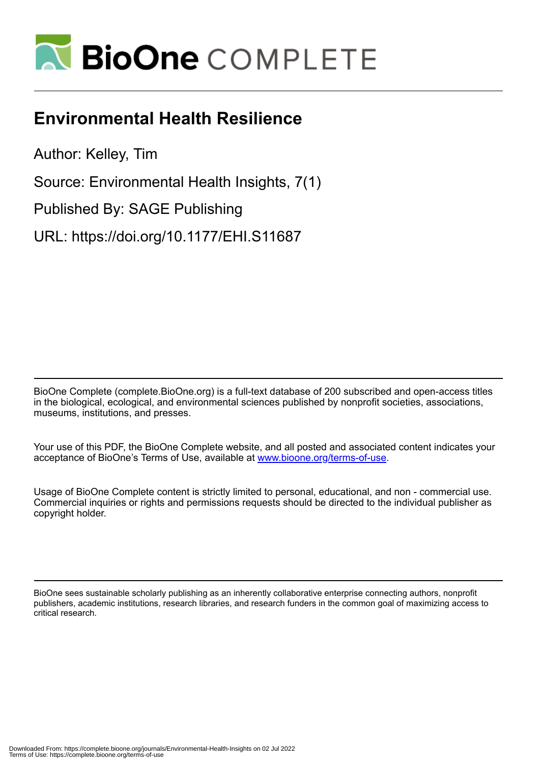

# **Environmental Health Resilience**

Author: Kelley, Tim

Source: Environmental Health Insights, 7(1)

Published By: SAGE Publishing

URL: https://doi.org/10.1177/EHI.S11687

BioOne Complete (complete.BioOne.org) is a full-text database of 200 subscribed and open-access titles in the biological, ecological, and environmental sciences published by nonprofit societies, associations, museums, institutions, and presses.

Your use of this PDF, the BioOne Complete website, and all posted and associated content indicates your acceptance of BioOne's Terms of Use, available at www.bioone.org/terms-of-use.

Usage of BioOne Complete content is strictly limited to personal, educational, and non - commercial use. Commercial inquiries or rights and permissions requests should be directed to the individual publisher as copyright holder.

BioOne sees sustainable scholarly publishing as an inherently collaborative enterprise connecting authors, nonprofit publishers, academic institutions, research libraries, and research funders in the common goal of maximizing access to critical research.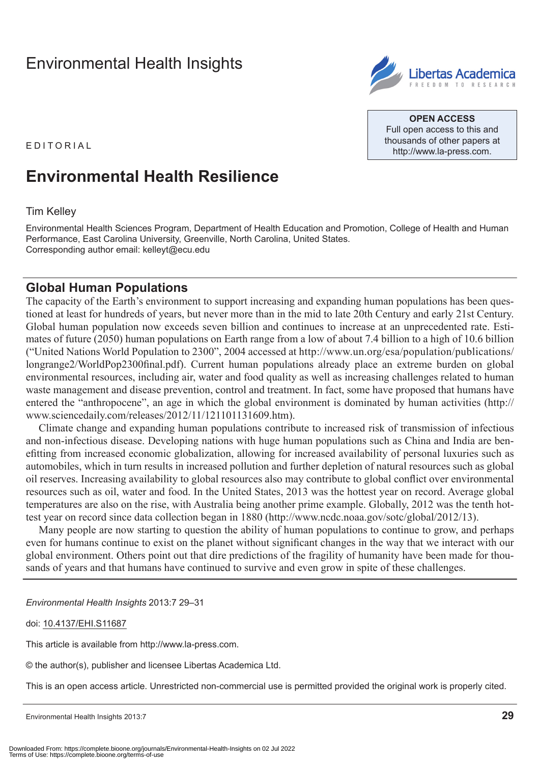## [Environmental Health Insights](http://www.la-press.com/environmental-health-insights-journal-j110)



**Open Access** Full open access to this and thousands of other papers at <http://www.la-press.com>.

E d it o r ial

## **Environmental Health Resilience**

#### Tim Kelley

Environmental Health Sciences Program, Department of Health Education and Promotion, College of Health and Human Performance, East Carolina University, Greenville, North Carolina, United States. Corresponding author email: [kelleyt@ecu.edu](mailto:kelleyt@ecu.edu)

### **Global Human Populations**

The capacity of the Earth's environment to support increasing and expanding human populations has been questioned at least for hundreds of years, but never more than in the mid to late 20th Century and early 21st Century. Global human population now exceeds seven billion and continues to increase at an unprecedented rate. Estimates of future (2050) human populations on Earth range from a low of about 7.4 billion to a high of 10.6 billion ("United Nations World Population to 2300", 2004 accessed at [http://www.un.org/esa/population/publications/](http://www.un.org/esa/population/publications/longrange2/WorldPop2300final.pdf) [longrange2/WorldPop2300final.pd](http://www.un.org/esa/population/publications/longrange2/WorldPop2300final.pdf)f). Current human populations already place an extreme burden on global environmental resources, including air, water and food quality as well as increasing challenges related to human waste management and disease prevention, control and treatment. In fact, some have proposed that humans have entered the "anthropocene", an age in which the global environment is dominated by human activities [\(http://](http://www.sciencedaily.com/releases/2012/11/121101131609.htm) [www.sciencedaily.com/releases/2012/11/121101131609.htm\)](http://www.sciencedaily.com/releases/2012/11/121101131609.htm).

Climate change and expanding human populations contribute to increased risk of transmission of infectious and non-infectious disease. Developing nations with huge human populations such as China and India are benefitting from increased economic globalization, allowing for increased availability of personal luxuries such as automobiles, which in turn results in increased pollution and further depletion of natural resources such as global oil reserves. Increasing availability to global resources also may contribute to global conflict over environmental resources such as oil, water and food. In the United States, 2013 was the hottest year on record. Average global temperatures are also on the rise, with Australia being another prime example. Globally, 2012 was the tenth hottest year on record since data collection began in 1880 [\(http://www.ncdc.noaa.gov/sotc/global/2012/13](http://www.ncdc.noaa.gov/sotc/global/2012/13)).

Many people are now starting to question the ability of human populations to continue to grow, and perhaps even for humans continue to exist on the planet without significant changes in the way that we interact with our global environment. Others point out that dire predictions of the fragility of humanity have been made for thousands of years and that humans have continued to survive and even grow in spite of these challenges.

*Environmental Health Insights* 2013:7 29–31

#### doi: [10.4137/EHI.S11687](http://dx.doi.org/10.4137/EHI.S11687)

This article is available from [http://www.la-press.com.](http://www.la-press.com)

© the author(s), publisher and licensee Libertas Academica Ltd.

This is an open access article. Unrestricted non-commercial use is permitted provided the original work is properly cited.

Environmental Health Insights 2013:7 **29**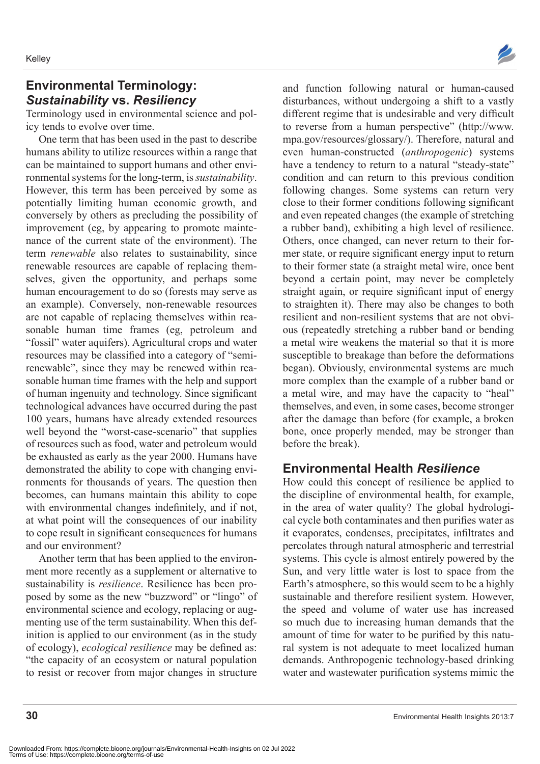## **Environmental Terminology:**  *Sustainability* **vs.** *Resiliency*

Terminology used in environmental science and policy tends to evolve over time.

One term that has been used in the past to describe humans ability to utilize resources within a range that can be maintained to support humans and other environmental systems for the long-term, is *sustainability*. However, this term has been perceived by some as potentially limiting human economic growth, and conversely by others as precluding the possibility of improvement (eg, by appearing to promote maintenance of the current state of the environment). The term *renewable* also relates to sustainability, since renewable resources are capable of replacing themselves, given the opportunity, and perhaps some human encouragement to do so (forests may serve as an example). Conversely, non-renewable resources are not capable of replacing themselves within reasonable human time frames (eg, petroleum and "fossil" water aquifers). Agricultural crops and water resources may be classified into a category of "semirenewable", since they may be renewed within reasonable human time frames with the help and support of human ingenuity and technology. Since significant technological advances have occurred during the past 100 years, humans have already extended resources well beyond the "worst-case-scenario" that supplies of resources such as food, water and petroleum would be exhausted as early as the year 2000. Humans have demonstrated the ability to cope with changing environments for thousands of years. The question then becomes, can humans maintain this ability to cope with environmental changes indefinitely, and if not, at what point will the consequences of our inability to cope result in significant consequences for humans and our environment?

Another term that has been applied to the environment more recently as a supplement or alternative to sustainability is *resilience*. Resilience has been proposed by some as the new "buzzword" or "lingo" of environmental science and ecology, replacing or augmenting use of the term sustainability. When this definition is applied to our environment (as in the study of ecology), *ecological resilience* may be defined as: "the capacity of an ecosystem or natural population to resist or recover from major changes in structure



and function following natural or human-caused disturbances, without undergoing a shift to a vastly different regime that is undesirable and very difficult to reverse from a human perspective" ([http://www.](http://www.mpa.gov/resources/glossary/) [mpa.gov/resources/glossary/\)](http://www.mpa.gov/resources/glossary/). Therefore, natural and even human-constructed (*anthropogenic*) systems have a tendency to return to a natural "steady-state" condition and can return to this previous condition following changes. Some systems can return very close to their former conditions following significant and even repeated changes (the example of stretching a rubber band), exhibiting a high level of resilience. Others, once changed, can never return to their former state, or require significant energy input to return to their former state (a straight metal wire, once bent beyond a certain point, may never be completely straight again, or require significant input of energy to straighten it). There may also be changes to both resilient and non-resilient systems that are not obvious (repeatedly stretching a rubber band or bending a metal wire weakens the material so that it is more susceptible to breakage than before the deformations began). Obviously, environmental systems are much more complex than the example of a rubber band or a metal wire, and may have the capacity to "heal" themselves, and even, in some cases, become stronger after the damage than before (for example, a broken bone, once properly mended, may be stronger than before the break).

#### **Environmental Health** *Resilience*

How could this concept of resilience be applied to the discipline of environmental health, for example, in the area of water quality? The global hydrological cycle both contaminates and then purifies water as it evaporates, condenses, precipitates, infiltrates and percolates through natural atmospheric and terrestrial systems. This cycle is almost entirely powered by the Sun, and very little water is lost to space from the Earth's atmosphere, so this would seem to be a highly sustainable and therefore resilient system. However, the speed and volume of water use has increased so much due to increasing human demands that the amount of time for water to be purified by this natural system is not adequate to meet localized human demands. Anthropogenic technology-based drinking water and wastewater purification systems mimic the